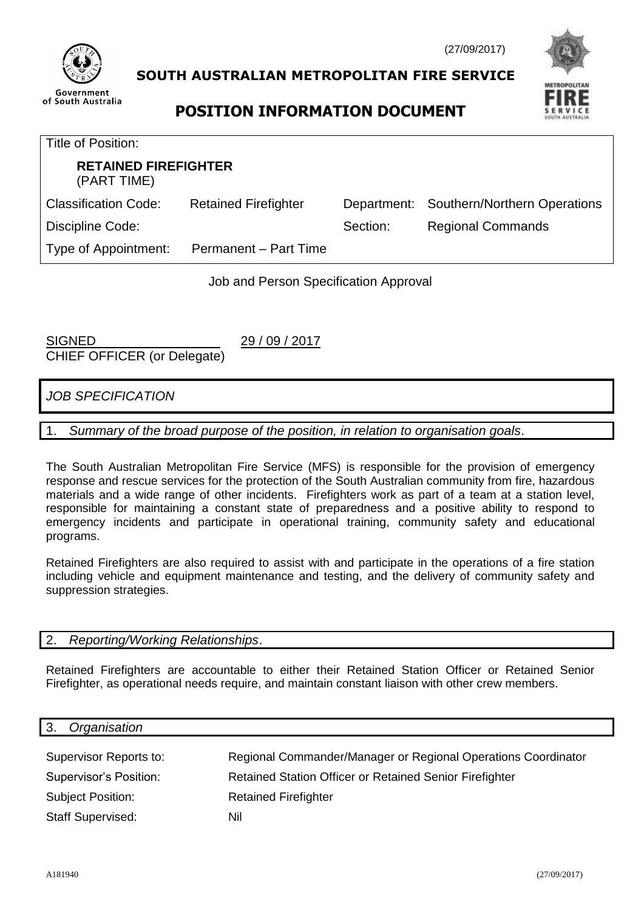

# **SOUTH AUSTRALIAN METROPOLITAN FIRE SERVICE**





| Title of Position:                         |                             |          |                                          |  |  |
|--------------------------------------------|-----------------------------|----------|------------------------------------------|--|--|
| <b>RETAINED FIREFIGHTER</b><br>(PART TIME) |                             |          |                                          |  |  |
| <b>Classification Code:</b>                | <b>Retained Firefighter</b> |          | Department: Southern/Northern Operations |  |  |
| Discipline Code:                           |                             | Section: | <b>Regional Commands</b>                 |  |  |
| Type of Appointment:                       | Permanent - Part Time       |          |                                          |  |  |

Job and Person Specification Approval

SIGNED 29 / 09 / 2017 CHIEF OFFICER (or Delegate)

*JOB SPECIFICATION*

1. *Summary of the broad purpose of the position, in relation to organisation goals*.

The South Australian Metropolitan Fire Service (MFS) is responsible for the provision of emergency response and rescue services for the protection of the South Australian community from fire, hazardous materials and a wide range of other incidents. Firefighters work as part of a team at a station level, responsible for maintaining a constant state of preparedness and a positive ability to respond to emergency incidents and participate in operational training, community safety and educational programs.

Retained Firefighters are also required to assist with and participate in the operations of a fire station including vehicle and equipment maintenance and testing, and the delivery of community safety and suppression strategies.

#### 2. *Reporting/Working Relationships*.

Retained Firefighters are accountable to either their Retained Station Officer or Retained Senior Firefighter, as operational needs require, and maintain constant liaison with other crew members.

| Organisation<br>3.       |                                                               |
|--------------------------|---------------------------------------------------------------|
|                          |                                                               |
| Supervisor Reports to:   | Regional Commander/Manager or Regional Operations Coordinator |
| Supervisor's Position:   | Retained Station Officer or Retained Senior Firefighter       |
| <b>Subject Position:</b> | <b>Retained Firefighter</b>                                   |
| <b>Staff Supervised:</b> | Nil                                                           |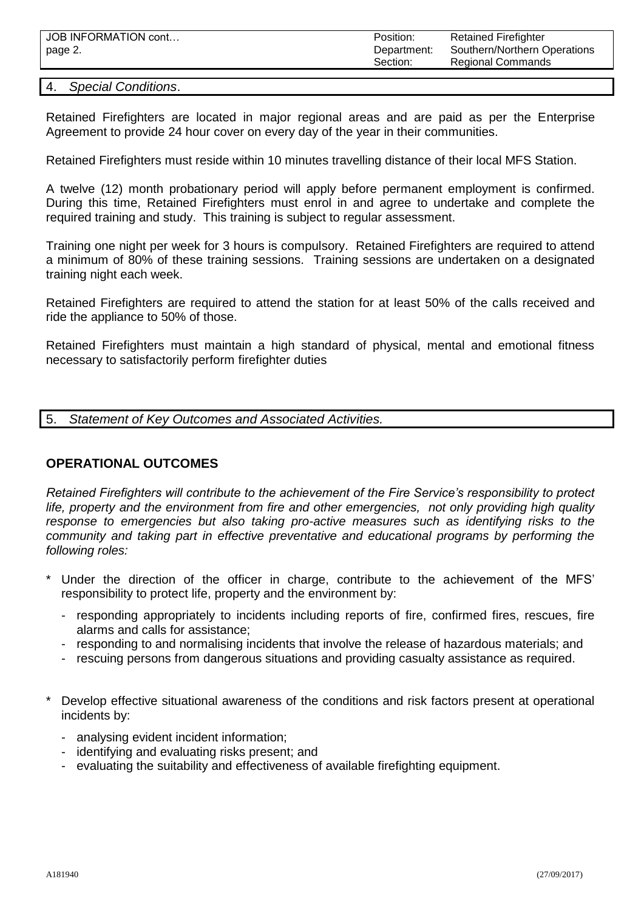| JOB INFORMATION cont | Position:   | <b>Retained Firefighter</b>  |
|----------------------|-------------|------------------------------|
| page 2.              | Department: | Southern/Northern Operations |
|                      | Section:    | <b>Regional Commands</b>     |

#### 4. *Special Conditions*.

Retained Firefighters are located in major regional areas and are paid as per the Enterprise Agreement to provide 24 hour cover on every day of the year in their communities.

Retained Firefighters must reside within 10 minutes travelling distance of their local MFS Station.

A twelve (12) month probationary period will apply before permanent employment is confirmed. During this time, Retained Firefighters must enrol in and agree to undertake and complete the required training and study. This training is subject to regular assessment.

Training one night per week for 3 hours is compulsory. Retained Firefighters are required to attend a minimum of 80% of these training sessions. Training sessions are undertaken on a designated training night each week.

Retained Firefighters are required to attend the station for at least 50% of the calls received and ride the appliance to 50% of those.

Retained Firefighters must maintain a high standard of physical, mental and emotional fitness necessary to satisfactorily perform firefighter duties

5. *Statement of Key Outcomes and Associated Activities.*

#### **OPERATIONAL OUTCOMES**

*Retained Firefighters will contribute to the achievement of the Fire Service's responsibility to protect life, property and the environment from fire and other emergencies, not only providing high quality response to emergencies but also taking pro-active measures such as identifying risks to the community and taking part in effective preventative and educational programs by performing the following roles:*

- Under the direction of the officer in charge, contribute to the achievement of the MFS' responsibility to protect life, property and the environment by:
	- responding appropriately to incidents including reports of fire, confirmed fires, rescues, fire alarms and calls for assistance;
	- responding to and normalising incidents that involve the release of hazardous materials; and
	- rescuing persons from dangerous situations and providing casualty assistance as required.
- Develop effective situational awareness of the conditions and risk factors present at operational incidents by:
	- analysing evident incident information;
	- identifying and evaluating risks present; and
	- evaluating the suitability and effectiveness of available firefighting equipment.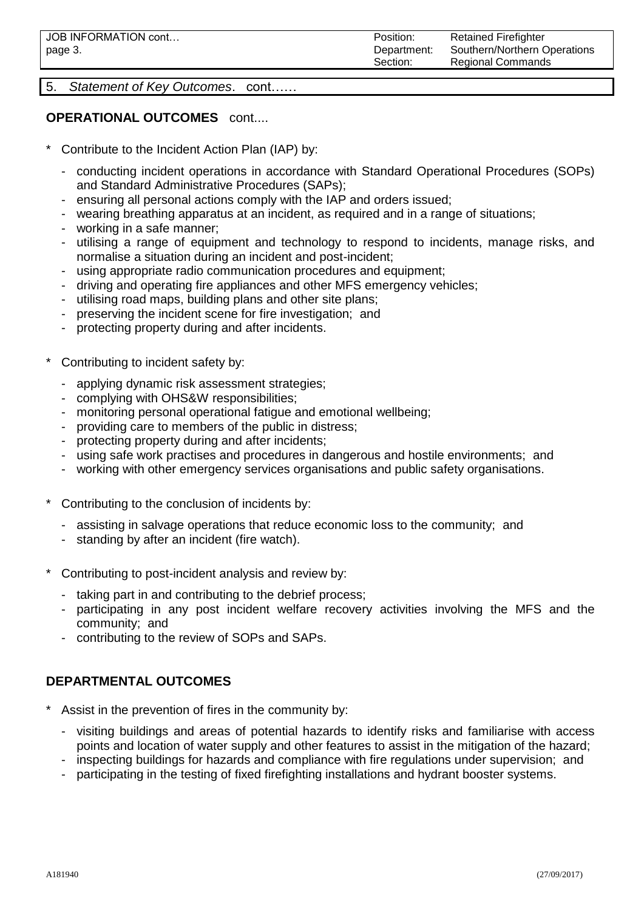5. *Statement of Key Outcomes*. cont……

### **OPERATIONAL OUTCOMES** cont....

- Contribute to the Incident Action Plan (IAP) by:
	- conducting incident operations in accordance with Standard Operational Procedures (SOPs) and Standard Administrative Procedures (SAPs);
	- ensuring all personal actions comply with the IAP and orders issued;
	- wearing breathing apparatus at an incident, as required and in a range of situations;
	- working in a safe manner;
	- utilising a range of equipment and technology to respond to incidents, manage risks, and normalise a situation during an incident and post-incident;
	- using appropriate radio communication procedures and equipment;
	- driving and operating fire appliances and other MFS emergency vehicles;
	- utilising road maps, building plans and other site plans;
	- preserving the incident scene for fire investigation; and
	- protecting property during and after incidents.
- Contributing to incident safety by:
	- applying dynamic risk assessment strategies;
	- complying with OHS&W responsibilities;
	- monitoring personal operational fatigue and emotional wellbeing;
	- providing care to members of the public in distress;
	- protecting property during and after incidents;
	- using safe work practises and procedures in dangerous and hostile environments; and
	- working with other emergency services organisations and public safety organisations.
- Contributing to the conclusion of incidents by:
	- assisting in salvage operations that reduce economic loss to the community; and
	- standing by after an incident (fire watch).
- Contributing to post-incident analysis and review by:
	- taking part in and contributing to the debrief process;
	- participating in any post incident welfare recovery activities involving the MFS and the community; and
	- contributing to the review of SOPs and SAPs.

## **DEPARTMENTAL OUTCOMES**

- Assist in the prevention of fires in the community by:
	- visiting buildings and areas of potential hazards to identify risks and familiarise with access points and location of water supply and other features to assist in the mitigation of the hazard;
	- inspecting buildings for hazards and compliance with fire regulations under supervision; and
	- participating in the testing of fixed firefighting installations and hydrant booster systems.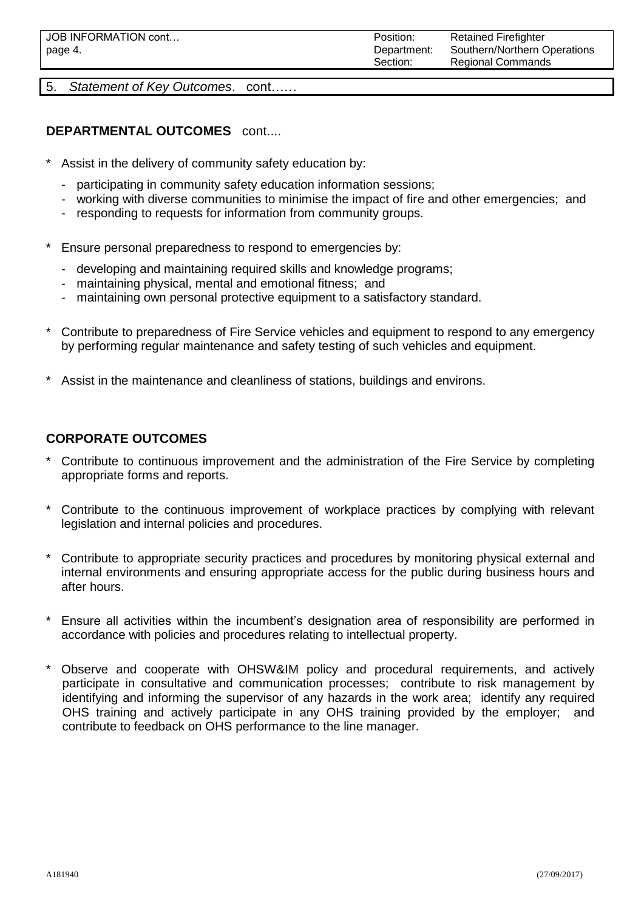5. *Statement of Key Outcomes*. cont……

## **DEPARTMENTAL OUTCOMES** cont....

- Assist in the delivery of community safety education by:
	- participating in community safety education information sessions;
	- working with diverse communities to minimise the impact of fire and other emergencies; and
	- responding to requests for information from community groups.
- Ensure personal preparedness to respond to emergencies by:
	- developing and maintaining required skills and knowledge programs;
	- maintaining physical, mental and emotional fitness; and
	- maintaining own personal protective equipment to a satisfactory standard.
- \* Contribute to preparedness of Fire Service vehicles and equipment to respond to any emergency by performing regular maintenance and safety testing of such vehicles and equipment.
- Assist in the maintenance and cleanliness of stations, buildings and environs.

## **CORPORATE OUTCOMES**

- Contribute to continuous improvement and the administration of the Fire Service by completing appropriate forms and reports.
- Contribute to the continuous improvement of workplace practices by complying with relevant legislation and internal policies and procedures.
- Contribute to appropriate security practices and procedures by monitoring physical external and internal environments and ensuring appropriate access for the public during business hours and after hours.
- Ensure all activities within the incumbent's designation area of responsibility are performed in accordance with policies and procedures relating to intellectual property.
- Observe and cooperate with OHSW&IM policy and procedural requirements, and actively participate in consultative and communication processes; contribute to risk management by identifying and informing the supervisor of any hazards in the work area; identify any required OHS training and actively participate in any OHS training provided by the employer; and contribute to feedback on OHS performance to the line manager.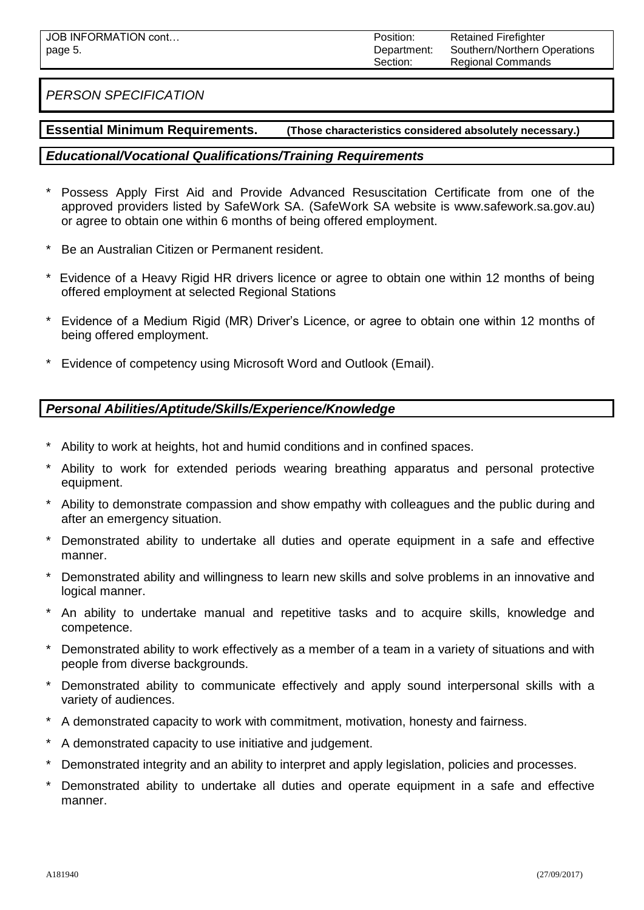## *PERSON SPECIFICATION*

#### **Essential Minimum Requirements. (Those characteristics considered absolutely necessary.)**

### *Educational/Vocational Qualifications/Training Requirements*

- Possess Apply First Aid and Provide Advanced Resuscitation Certificate from one of the approved providers listed by SafeWork SA. (SafeWork SA website is [www.safework.sa.gov.au\)](http://www.safework.sa.gov.au/) or agree to obtain one within 6 months of being offered employment.
- Be an Australian Citizen or Permanent resident.
- Evidence of a Heavy Rigid HR drivers licence or agree to obtain one within 12 months of being offered employment at selected Regional Stations
- \* Evidence of a Medium Rigid (MR) Driver's Licence, or agree to obtain one within 12 months of being offered employment.
- Evidence of competency using Microsoft Word and Outlook (Email).

#### *Personal Abilities/Aptitude/Skills/Experience/Knowledge*

- Ability to work at heights, hot and humid conditions and in confined spaces.
- Ability to work for extended periods wearing breathing apparatus and personal protective equipment.
- \* Ability to demonstrate compassion and show empathy with colleagues and the public during and after an emergency situation.
- \* Demonstrated ability to undertake all duties and operate equipment in a safe and effective manner.
- \* Demonstrated ability and willingness to learn new skills and solve problems in an innovative and logical manner.
- \* An ability to undertake manual and repetitive tasks and to acquire skills, knowledge and competence.
- Demonstrated ability to work effectively as a member of a team in a variety of situations and with people from diverse backgrounds.
- Demonstrated ability to communicate effectively and apply sound interpersonal skills with a variety of audiences.
- A demonstrated capacity to work with commitment, motivation, honesty and fairness.
- A demonstrated capacity to use initiative and judgement.
- \* Demonstrated integrity and an ability to interpret and apply legislation, policies and processes.
- \* Demonstrated ability to undertake all duties and operate equipment in a safe and effective manner.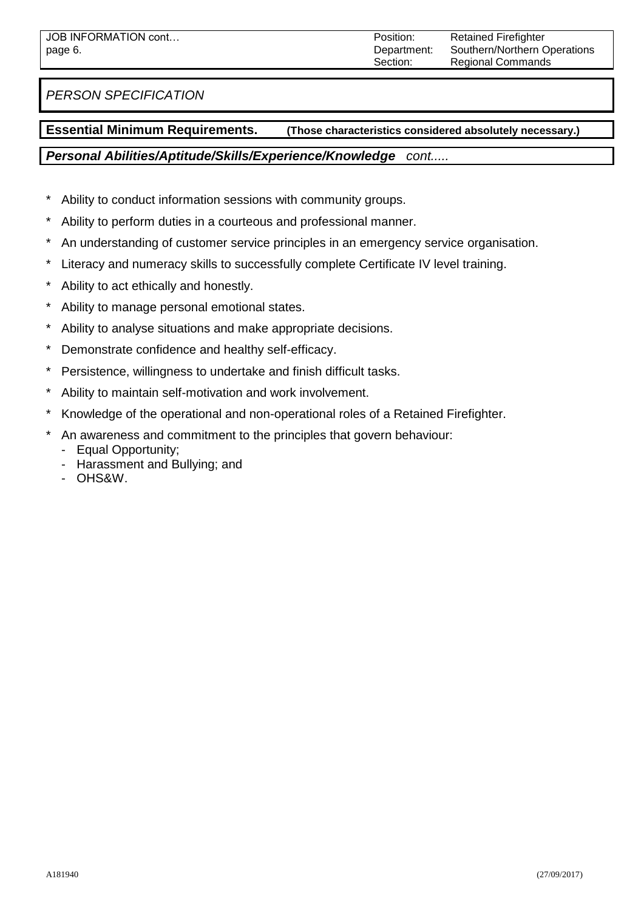*PERSON SPECIFICATION*

### **Essential Minimum Requirements. (Those characteristics considered absolutely necessary.)**

#### *Personal Abilities/Aptitude/Skills/Experience/Knowledge cont.....*

- \* Ability to conduct information sessions with community groups.
- \* Ability to perform duties in a courteous and professional manner.
- \* An understanding of customer service principles in an emergency service organisation.
- \* Literacy and numeracy skills to successfully complete Certificate IV level training.
- \* Ability to act ethically and honestly.
- \* Ability to manage personal emotional states.
- \* Ability to analyse situations and make appropriate decisions.
- \* Demonstrate confidence and healthy self-efficacy.
- \* Persistence, willingness to undertake and finish difficult tasks.
- \* Ability to maintain self-motivation and work involvement.
- \* Knowledge of the operational and non-operational roles of a Retained Firefighter.
- \* An awareness and commitment to the principles that govern behaviour:
	- Equal Opportunity;
	- Harassment and Bullying; and
	- OHS&W.